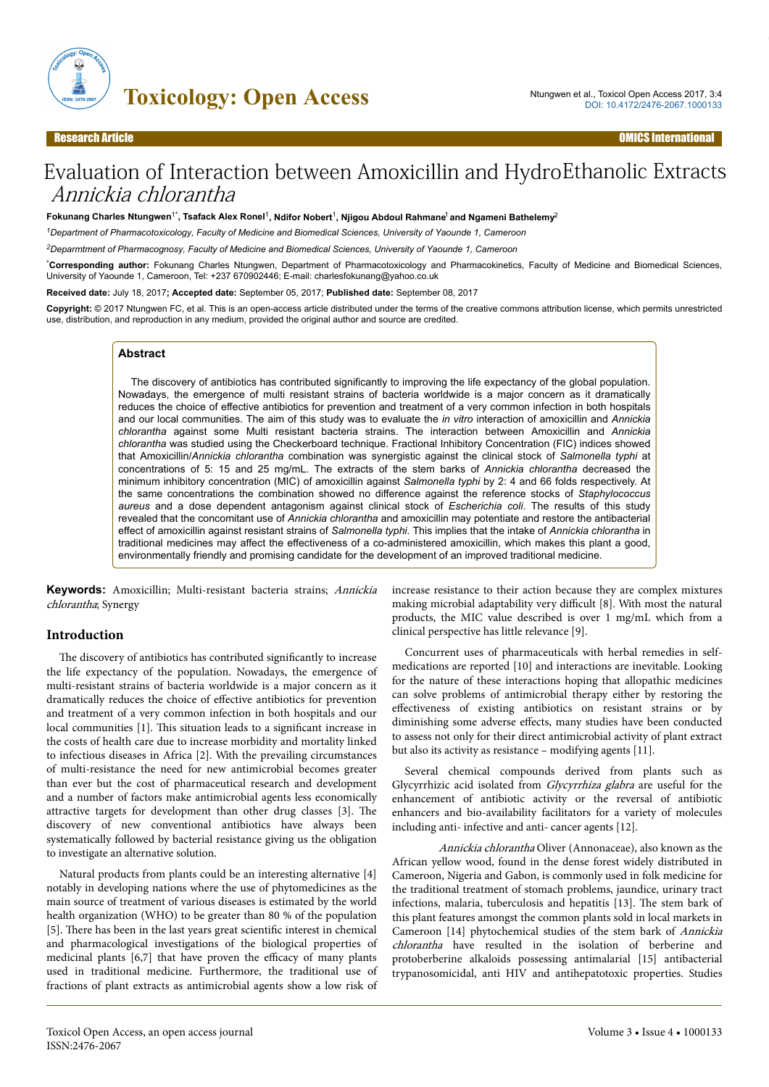

# Evaluation of Interaction between Amoxicillin and HydroEthanolic Extracts Annickia chlorantha

 $F$ okunang Charles Ntungwen<sup>1\*</sup>, Tsafack Alex Ronel<sup>1</sup>, Ndifor Nobert<sup>1</sup>, Njigou Abdoul Rahmane<sup>1</sup> and Ngameni Bathelemy<sup>2</sup>

*<sup>1</sup>Department of Pharmacotoxicology, Faculty of Medicine and Biomedical Sciences, University of Yaounde 1, Cameroon*

*<sup>2</sup>Deparmtment of Pharmacognosy, Faculty of Medicine and Biomedical Sciences, University of Yaounde 1, Cameroon*

\***Corresponding author:** Fokunang Charles Ntungwen, Department of Pharmacotoxicology and Pharmacokinetics, Faculty of Medicine and Biomedical Sciences, University of Yaounde 1, Cameroon, Tel: +237 670902446; E-mail: charlesfokunang@yahoo.co.uk

**Received date:** July 18, 2017**; Accepted date:** September 05, 2017; **Published date:** September 08, 2017

**Copyright:** © 2017 Ntungwen FC, et al. This is an open-access article distributed under the terms of the creative commons attribution license, which permits unrestricted use, distribution, and reproduction in any medium, provided the original author and source are credited.

## **Abstract**

The discovery of antibiotics has contributed significantly to improving the life expectancy of the global population. Nowadays, the emergence of multi resistant strains of bacteria worldwide is a major concern as it dramatically reduces the choice of effective antibiotics for prevention and treatment of a very common infection in both hospitals and our local communities. The aim of this study was to evaluate the *in vitro* interaction of amoxicillin and *Annickia chlorantha* against some Multi resistant bacteria strains. The interaction between Amoxicillin and *Annickia chlorantha* was studied using the Checkerboard technique. Fractional Inhibitory Concentration (FIC) indices showed that Amoxicillin/*Annickia chlorantha* combination was synergistic against the clinical stock of *Salmonella typhi* at concentrations of 5: 15 and 25 mg/mL. The extracts of the stem barks of *Annickia chlorantha* decreased the minimum inhibitory concentration (MIC) of amoxicillin against *Salmonella typhi* by 2: 4 and 66 folds respectively. At the same concentrations the combination showed no difference against the reference stocks of *Staphylococcus aureus* and a dose dependent antagonism against clinical stock of *Escherichia coli*. The results of this study revealed that the concomitant use of *Annickia chlorantha* and amoxicillin may potentiate and restore the antibacterial effect of amoxicillin against resistant strains of *Salmonella typhi*. This implies that the intake of *Annickia chlorantha* in traditional medicines may affect the effectiveness of a co-administered amoxicillin, which makes this plant a good, environmentally friendly and promising candidate for the development of an improved traditional medicine.

**Keywords:** Amoxicillin; Multi-resistant bacteria strains; Annickia chlorantha; Synergy

## **Introduction**

The discovery of antibiotics has contributed significantly to increase the life expectancy of the population. Nowadays, the emergence of multi-resistant strains of bacteria worldwide is a major concern as it dramatically reduces the choice of effective antibiotics for prevention and treatment of a very common infection in both hospitals and our local communities [1]. This situation leads to a significant increase in the costs of health care due to increase morbidity and mortality linked to infectious diseases in Africa [2]. With the prevailing circumstances of multi-resistance the need for new antimicrobial becomes greater than ever but the cost of pharmaceutical research and development and a number of factors make antimicrobial agents less economically attractive targets for development than other drug classes [3]. Нe discovery of new conventional antibiotics have always been systematically followed by bacterial resistance giving us the obligation to investigate an alternative solution.

Natural products from plants could be an interesting alternative [4] notably in developing nations where the use of phytomedicines as the main source of treatment of various diseases is estimated by the world health organization (WHO) to be greater than 80 % of the population [5]. Нere has been in the last years great scientific interest in chemical and pharmacological investigations of the biological properties of medicinal plants  $[6,7]$  that have proven the efficacy of many plants used in traditional medicine. Furthermore, the traditional use of fractions of plant extracts as antimicrobial agents show a low risk of

increase resistance to their action because they are complex mixtures making microbial adaptability very difficult [8]. With most the natural products, the MIC value described is over 1 mg/mL which from a clinical perspective has little relevance [9].

Concurrent uses of pharmaceuticals with herbal remedies in selfmedications are reported [10] and interactions are inevitable. Looking for the nature of these interactions hoping that allopathic medicines can solve problems of antimicrobial therapy either by restoring the effectiveness of existing antibiotics on resistant strains or by diminishing some adverse effects, many studies have been conducted to assess not only for their direct antimicrobial activity of plant extract but also its activity as resistance – modifying agents [11].

Several chemical compounds derived from plants such as Glycyrrhizic acid isolated from Glycyrrhiza glabra are useful for the enhancement of antibiotic activity or the reversal of antibiotic enhancers and bio-availability facilitators for a variety of molecules including anti- infective and anti- cancer agents [12].

Annickia chlorantha Oliver (Annonaceae), also known as the African yellow wood, found in the dense forest widely distributed in Cameroon, Nigeria and Gabon, is commonly used in folk medicine for the traditional treatment of stomach problems, jaundice, urinary tract infections, malaria, tuberculosis and hepatitis [13]. Нe stem bark of this plant features amongst the common plants sold in local markets in Cameroon [14] phytochemical studies of the stem bark of Annickia chlorantha have resulted in the isolation of berberine and protoberberine alkaloids possessing antimalarial [15] antibacterial trypanosomicidal, anti HIV and antihepatotoxic properties. Studies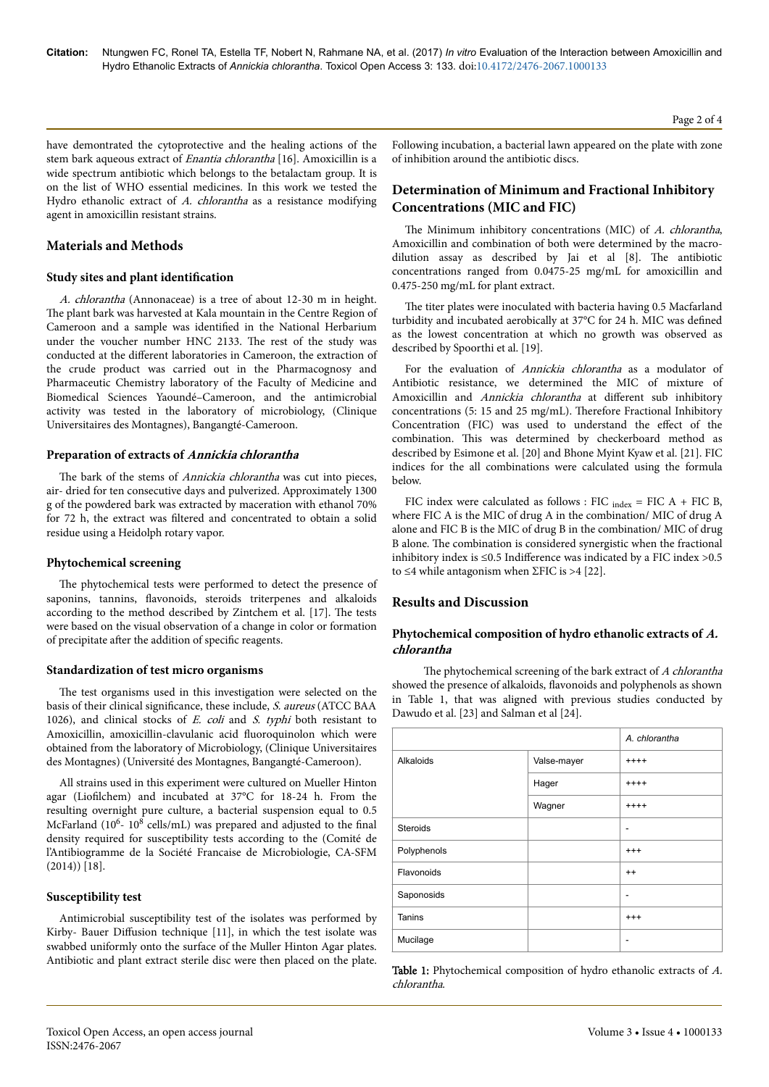have demontrated the cytoprotective and the healing actions of the stem bark aqueous extract of Enantia chlorantha [16]. Amoxicillin is a wide spectrum antibiotic which belongs to the betalactam group. It is on the list of WHO essential medicines. In this work we tested the Hydro ethanolic extract of A. chlorantha as a resistance modifying agent in amoxicillin resistant strains.

# **Materials and Methods**

## **Study sites and plant identification**

A. chlorantha (Annonaceae) is a tree of about 12-30 m in height. The plant bark was harvested at Kala mountain in the Centre Region of Cameroon and a sample was identified in the National Herbarium under the voucher number HNC 2133. Нe rest of the study was conducted at the different laboratories in Cameroon, the extraction of the crude product was carried out in the Pharmacognosy and Pharmaceutic Chemistry laboratory of the Faculty of Medicine and Biomedical Sciences Yaoundé–Cameroon, and the antimicrobial activity was tested in the laboratory of microbiology, (Clinique Universitaires des Montagnes), Bangangté-Cameroon.

#### **Preparation of extracts of Annickia chlorantha**

The bark of the stems of Annickia chlorantha was cut into pieces, air- dried for ten consecutive days and pulverized. Approximately 1300 g of the powdered bark was extracted by maceration with ethanol 70% for 72 h, the extract was filtered and concentrated to obtain a solid residue using a Heidolph rotary vapor.

## **Phytochemical screening**

The phytochemical tests were performed to detect the presence of saponins, tannins, flavonoids, steroids triterpenes and alkaloids according to the method described by Zintchem et al. [17]. Нe tests were based on the visual observation of a change in color or formation of precipitate after the addition of specific reagents.

## **Standardization of test micro organisms**

The test organisms used in this investigation were selected on the basis of their clinical significance, these include, S. aureus (ATCC BAA 1026), and clinical stocks of  $E$ . coli and  $S$ . typhi both resistant to Amoxicillin, amoxicillin-clavulanic acid fluoroquinolon which were obtained from the laboratory of Microbiology, (Clinique Universitaires des Montagnes) (Université des Montagnes, Bangangté-Cameroon).

All strains used in this experiment were cultured on Mueller Hinton agar (Liofilchem) and incubated at 37°C for 18-24 h. From the resulting overnight pure culture, a bacterial suspension equal to 0.5 McFarland (10<sup>6</sup>-10<sup>8</sup> cells/mL) was prepared and adjusted to the final density required for susceptibility tests according to the (Comité de l'Antibiogramme de la Société Francaise de Microbiologie, CA-SFM (2014)) [18].

## **Susceptibility test**

Antimicrobial susceptibility test of the isolates was performed by Kirby- Bauer Diffusion technique [11], in which the test isolate was swabbed uniformly onto the surface of the Muller Hinton Agar plates. Antibiotic and plant extract sterile disc were then placed on the plate. Following incubation, a bacterial lawn appeared on the plate with zone of inhibition around the antibiotic discs.

# **Determination of Minimum and Fractional Inhibitory Concentrations (MIC and FIC)**

The Minimum inhibitory concentrations (MIC) of A. chlorantha, Amoxicillin and combination of both were determined by the macrodilution assay as described by Jai et al [8]. Нe antibiotic concentrations ranged from 0.0475-25 mg/mL for amoxicillin and 0.475-250 mg/mL for plant extract.

The titer plates were inoculated with bacteria having 0.5 Macfarland turbidity and incubated aerobically at 37°C for 24 h. MIC was defined as the lowest concentration at which no growth was observed as described by Spoorthi et al. [19].

For the evaluation of Annickia chlorantha as a modulator of Antibiotic resistance, we determined the MIC of mixture of Amoxicillin and Annickia chlorantha at different sub inhibitory concentrations (5: 15 and 25 mg/mL). Нerefore Fractional Inhibitory Concentration (FIC) was used to understand the effect of the combination. Нis was determined by checkerboard method as described by Esimone et al. [20] and Bhone Myint Kyaw et al. [21]. FIC indices for the all combinations were calculated using the formula below.

FIC index were calculated as follows : FIC  $_{index}$  = FIC A + FIC B, where FIC A is the MIC of drug A in the combination/ MIC of drug A alone and FIC B is the MIC of drug B in the combination/ MIC of drug B alone. Нe combination is considered synergistic when the fractional inhibitory index is  $\leq 0.5$  Indifference was indicated by a FIC index >0.5 to ≤4 while antagonism when ΣFIC is >4 [22].

# **Results and Discussion**

# **Phytochemical composition of hydro ethanolic extracts of A. chlorantha**

The phytochemical screening of the bark extract of A chlorantha showed the presence of alkaloids, flavonoids and polyphenols as shown in Table 1, that was aligned with previous studies conducted by Dawudo et al. [23] and Salman et al [24].

|                 |             | A. chlorantha |  |
|-----------------|-------------|---------------|--|
| Alkaloids       | Valse-mayer | $++++$        |  |
|                 | Hager       | $++++$        |  |
|                 | Wagner      | $++++$        |  |
| <b>Steroids</b> |             | ٠             |  |
| Polyphenols     |             | $^{++}$       |  |
| Flavonoids      |             | $^{++}$       |  |
| Saponosids      |             | ٠             |  |
| <b>Tanins</b>   |             | $^{+++}$      |  |
| Mucilage        |             | ۰             |  |

Table 1: Phytochemical composition of hydro ethanolic extracts of A. chlorantha.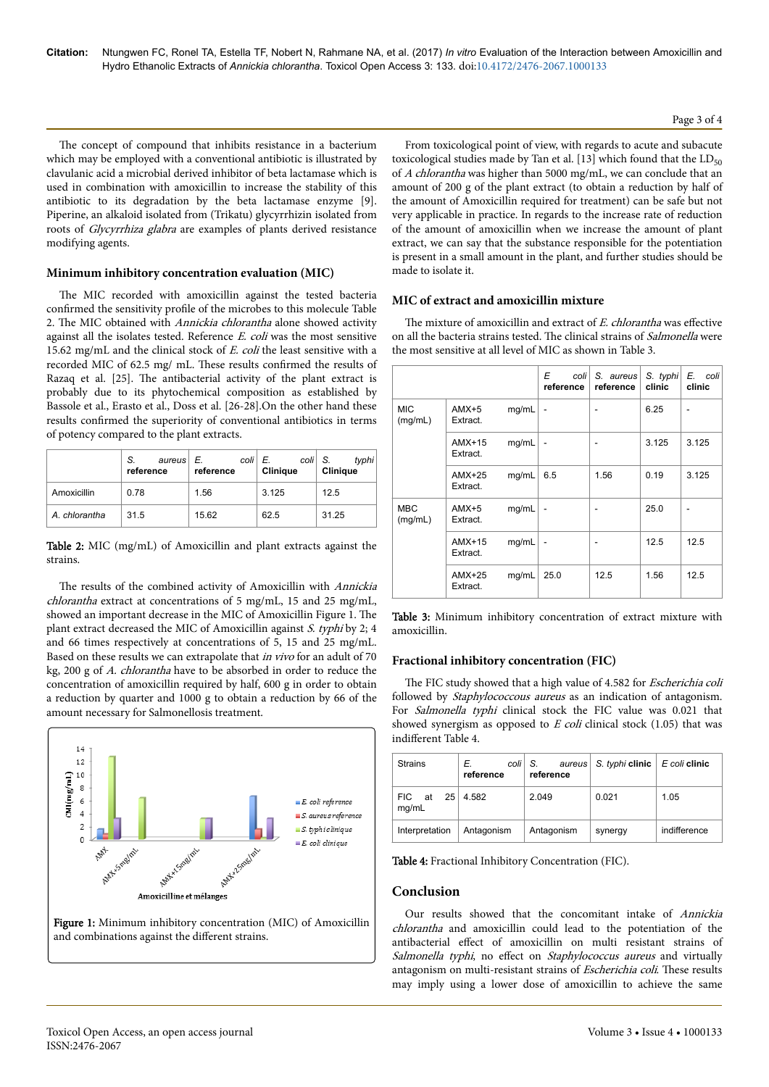The concept of compound that inhibits resistance in a bacterium which may be employed with a conventional antibiotic is illustrated by clavulanic acid a microbial derived inhibitor of beta lactamase which is used in combination with amoxicillin to increase the stability of this antibiotic to its degradation by the beta lactamase enzyme [9]. Piperine, an alkaloid isolated from (Trikatu) glycyrrhizin isolated from roots of Glycyrrhiza glabra are examples of plants derived resistance modifying agents.

## **Minimum inhibitory concentration evaluation (MIC)**

The MIC recorded with amoxicillin against the tested bacteria confirmed the sensitivity profile of the microbes to this molecule Table 2. The MIC obtained with Annickia chlorantha alone showed activity against all the isolates tested. Reference E. coli was the most sensitive 15.62 mg/mL and the clinical stock of E. coli the least sensitive with a recorded MIC of 62.5 mg/ mL. Нese results confirmed the results of Razaq et al. [25]. Нe antibacterial activity of the plant extract is probably due to its phytochemical composition as established by Bassole et al., Erasto et al., Doss et al. [26-28].On the other hand these results confirmed the superiority of conventional antibiotics in terms of potency compared to the plant extracts.

|               | aureus E.<br>S.<br>reference | coli l<br>reference | $\text{colil } S$ .<br>* E.<br><b>Clinique</b> | typhi<br><b>Clinique</b> |
|---------------|------------------------------|---------------------|------------------------------------------------|--------------------------|
| Amoxicillin   | 0.78                         | 1.56                | 3.125                                          | 12.5                     |
| A. chlorantha | 31.5                         | 15.62               | 62.5                                           | 31.25                    |

Table 2: MIC (mg/mL) of Amoxicillin and plant extracts against the strains.

The results of the combined activity of Amoxicillin with Annickia chlorantha extract at concentrations of 5 mg/mL, 15 and 25 mg/mL, showed an important decrease in the MIC of Amoxicillin Figure 1. Нe plant extract decreased the MIC of Amoxicillin against S. typhi by 2; 4 and 66 times respectively at concentrations of 5, 15 and 25 mg/mL. Based on these results we can extrapolate that in vivo for an adult of 70 kg, 200 g of A. chlorantha have to be absorbed in order to reduce the concentration of amoxicillin required by half, 600 g in order to obtain a reduction by quarter and 1000 g to obtain a reduction by 66 of the amount necessary for Salmonellosis treatment.





From toxicological point of view, with regards to acute and subacute toxicological studies made by Tan et al. [13] which found that the  $LD_{50}$ of A chlorantha was higher than 5000 mg/mL, we can conclude that an amount of 200 g of the plant extract (to obtain a reduction by half of the amount of Amoxicillin required for treatment) can be safe but not very applicable in practice. In regards to the increase rate of reduction of the amount of amoxicillin when we increase the amount of plant extract, we can say that the substance responsible for the potentiation is present in a small amount in the plant, and further studies should be made to isolate it.

# **MIC of extract and amoxicillin mixture**

The mixture of amoxicillin and extract of  $E$ , chlorantha was effective on all the bacteria strains tested. The clinical strains of *Salmonella* were the most sensitive at all level of MIC as shown in Table 3.

|                       |                      |       | E<br>coli<br>reference   | S. aureus<br>reference | $S.$ typhi<br>clinic | E. coli<br>clinic |
|-----------------------|----------------------|-------|--------------------------|------------------------|----------------------|-------------------|
| <b>MIC</b><br>(mg/mL) | $AMX+5$<br>Extract.  | mg/mL | $\overline{\phantom{a}}$ | ۰                      | 6.25                 |                   |
|                       | $AMX+15$<br>Extract. | mg/mL | $\overline{a}$           | ٠                      | 3.125                | 3.125             |
|                       | AMX+25<br>Extract.   | mg/mL | 6.5                      | 1.56                   | 0.19                 | 3.125             |
| <b>MBC</b><br>(mg/mL) | $AMX+5$<br>Extract.  | mg/mL | $\overline{a}$           | -                      | 25.0                 |                   |
|                       | $AMX+15$<br>Extract. | mg/mL | $\overline{a}$           | ۰                      | 12.5                 | 12.5              |
|                       | $AMX+25$<br>Extract. | mg/mL | 25.0                     | 12.5                   | 1.56                 | 12.5              |

Table 3: Minimum inhibitory concentration of extract mixture with amoxicillin.

# **Fractional inhibitory concentration (FIC)**

The FIC study showed that a high value of 4.582 for Escherichia coli followed by *Staphylococcous aureus* as an indication of antagonism. For Salmonella typhi clinical stock the FIC value was 0.021 that showed synergism as opposed to  $E$  coli clinical stock (1.05) that was indifferent Table 4.

| <b>Strains</b>                     | Е.<br>reference | coli S.<br>reference | aureus $\mid S$ . typhi clinic $\mid E$ coli clinic |              |
|------------------------------------|-----------------|----------------------|-----------------------------------------------------|--------------|
| 25 <sup>1</sup><br>FIC at<br>mg/mL | 4.582           | 2.049                | 0.021                                               | 1.05         |
| Interpretation                     | Antagonism      | Antagonism           | synergy                                             | indifference |

Table 4: Fractional Inhibitory Concentration (FIC).

# **Conclusion**

Our results showed that the concomitant intake of Annickia chlorantha and amoxicillin could lead to the potentiation of the antibacterial effect of amoxicillin on multi resistant strains of Salmonella typhi, no effect on Staphylococcus aureus and virtually antagonism on multi-resistant strains of Escherichia coli. These results may imply using a lower dose of amoxicillin to achieve the same